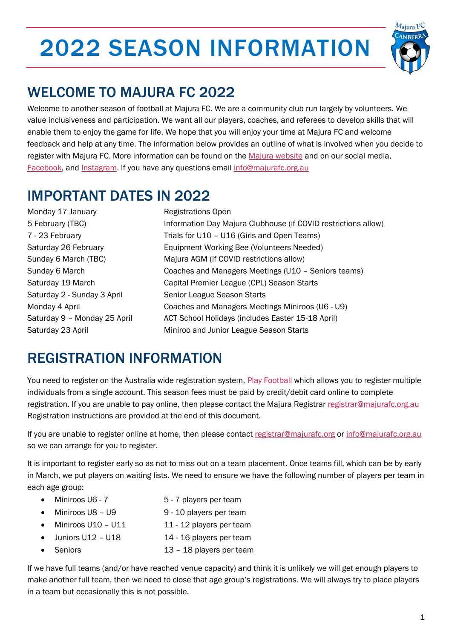# 2022 SEASON INFORMATION



## WELCOME TO MAJURA FC 2022

Welcome to another season of football at Majura FC. We are a community club run largely by volunteers. We value inclusiveness and participation. We want all our players, coaches, and referees to develop skills that will enable them to enjoy the game for life. We hope that you will enjoy your time at Majura FC and welcome feedback and help at any time. The information below provides an outline of what is involved when you decide to register with Majura FC. More information can be found on the [Majura website](http://majurafc.org.au/) and on our social media, [Facebook,](https://www.facebook.com/majurafootballclub/) and [Instagram.](https://www.instagram.com/majurafootballclub/?fbclid=IwAR1C32iySqBldXAPQzigoqtpmls-gdl0_ttwnwmdTAvlZqOSXpjxsL0vXdo) If you have any questions email info@majurafc.org.au

#### IMPORTANT DATES IN 2022

Monday 17 January **Registrations Open** 

5 February (TBC) Information Day Majura Clubhouse (if COVID restrictions allow) 7 - 23 February Trials for U10 – U16 (Girls and Open Teams) Saturday 26 February Equipment Working Bee (Volunteers Needed) Sunday 6 March (TBC) Majura AGM (if COVID restrictions allow) Sunday 6 March Coaches and Managers Meetings (U10 – Seniors teams) Saturday 19 March Capital Premier League (CPL) Season Starts Saturday 2 - Sunday 3 April Senior League Season Starts Monday 4 April Coaches and Managers Meetings Miniroos (U6 - U9) Saturday 9 - Monday 25 April ACT School Holidays (includes Easter 15-18 April) Saturday 23 April **Miniroo and Junior League Season Starts** Miniroo and Junior League Season Starts

### REGISTRATION INFORMATION

You need to register on the Australia wide registration system[, Play Football](https://www.playfootball.com.au/football-finder?st=club&club_name=Majura+FC&clubId=31592#infoModal) which allows you to register multiple individuals from a single account. This season fees must be paid by credit/debit card online to complete registration. If you are unable to pay online, then please contact the Majura Registrar [registrar@majurafc.org.au](mailto:registrar@majurafc.org.au)  Registration instructions are provided at the end of this document.

If you are unable to register online at home, then please contact [registrar@majurafc.org](mailto:registrar@majurafc.org) or [info@majurafc.org.au](mailto:info@majurafc.org.au) so we can arrange for you to register.

It is important to register early so as not to miss out on a team placement. Once teams fill, which can be by early in March, we put players on waiting lists. We need to ensure we have the following number of players per team in each age group:

- Miniroos U6 7  $\overline{5}$  7 players per team
- Miniroos U8 U9 9 10 players per team
- Miniroos U10 U11 11 12 players per team
- Juniors U12 U18 14 16 players per team
- Seniors 13 18 players per team

If we have full teams (and/or have reached venue capacity) and think it is unlikely we will get enough players to make another full team, then we need to close that age group's registrations. We will always try to place players in a team but occasionally this is not possible.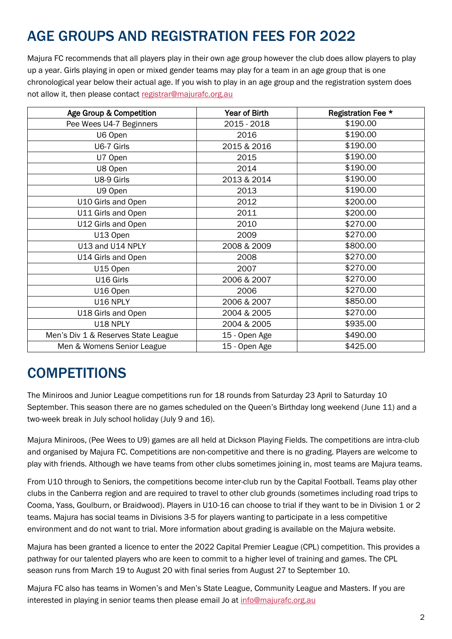# AGE GROUPS AND REGISTRATION FEES FOR 2022

Majura FC recommends that all players play in their own age group however the club does allow players to play up a year. Girls playing in open or mixed gender teams may play for a team in an age group that is one chronological year below their actual age. If you wish to play in an age group and the registration system does not allow it, then please contact [registrar@majurafc.org.au](mailto:registrar@majurafc.org.au)

| Age Group & Competition             | <b>Year of Birth</b> | Registration Fee * |
|-------------------------------------|----------------------|--------------------|
| Pee Wees U4-7 Beginners             | 2015 - 2018          | \$190.00           |
| U6 Open                             | 2016                 | \$190.00           |
| U6-7 Girls                          | 2015 & 2016          | \$190.00           |
| U7 Open                             | 2015                 | \$190.00           |
| U8 Open                             | 2014                 | \$190.00           |
| U8-9 Girls                          | 2013 & 2014          | \$190.00           |
| U9 Open                             | 2013                 | \$190.00           |
| U10 Girls and Open                  | 2012                 | \$200.00           |
| U11 Girls and Open                  | 2011                 | \$200.00           |
| U12 Girls and Open                  | 2010                 | \$270.00           |
| U13 Open                            | 2009                 | \$270.00           |
| U13 and U14 NPLY                    | 2008 & 2009          | \$800.00           |
| U14 Girls and Open                  | 2008                 | \$270.00           |
| U15 Open                            | 2007                 | \$270.00           |
| U16 Girls                           | 2006 & 2007          | \$270.00           |
| U16 Open                            | 2006                 | \$270.00           |
| U16 NPLY                            | 2006 & 2007          | \$850.00           |
| U18 Girls and Open                  | 2004 & 2005          | \$270.00           |
| U18 NPLY                            | 2004 & 2005          | \$935.00           |
| Men's Div 1 & Reserves State League | 15 - Open Age        | \$490.00           |
| Men & Womens Senior League          | 15 - Open Age        | \$425.00           |

#### **COMPETITIONS**

The Miniroos and Junior League competitions run for 18 rounds from Saturday 23 April to Saturday 10 September. This season there are no games scheduled on the Queen's Birthday long weekend (June 11) and a two-week break in July school holiday (July 9 and 16).

Majura Miniroos, (Pee Wees to U9) games are all held at Dickson Playing Fields. The competitions are intra-club and organised by Majura FC. Competitions are non-competitive and there is no grading. Players are welcome to play with friends. Although we have teams from other clubs sometimes joining in, most teams are Majura teams.

From U10 through to Seniors, the competitions become inter-club run by the Capital Football. Teams play other clubs in the Canberra region and are required to travel to other club grounds (sometimes including road trips to Cooma, Yass, Goulburn, or Braidwood). Players in U10-16 can choose to trial if they want to be in Division 1 or 2 teams. Majura has social teams in Divisions 3-5 for players wanting to participate in a less competitive environment and do not want to trial. More information about grading is available on the Majura website.

Majura has been granted a licence to enter the 2022 Capital Premier League (CPL) competition. This provides a pathway for our talented players who are keen to commit to a higher level of training and games. The CPL season runs from March 19 to August 20 with final series from August 27 to September 10.

Majura FC also has teams in Women's and Men's State League, Community League and Masters. If you are interested in playing in senior teams then please email Jo at info@majurafc.org.au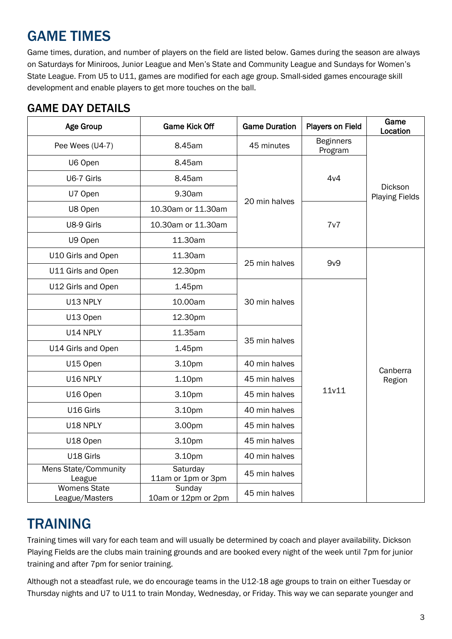## GAME TIMES

Game times, duration, and number of players on the field are listed below. Games during the season are always on Saturdays for Miniroos, Junior League and Men's State and Community League and Sundays for Women's State League. From U5 to U11, games are modified for each age group. Small-sided games encourage skill development and enable players to get more touches on the ball.

#### GAME DAY DETAILS

| Age Group                                                              | <b>Game Kick Off</b>                | <b>Game Duration</b> | <b>Players on Field</b>     | Game<br>Location                        |
|------------------------------------------------------------------------|-------------------------------------|----------------------|-----------------------------|-----------------------------------------|
| Pee Wees (U4-7)                                                        | 8.45am                              | 45 minutes           | <b>Beginners</b><br>Program |                                         |
| U6 Open                                                                | 8.45am                              |                      |                             |                                         |
| U6-7 Girls                                                             | 8.45am                              | 20 min halves        | 4v4                         | <b>Dickson</b><br><b>Playing Fields</b> |
| U7 Open                                                                | 9.30am                              |                      |                             |                                         |
| U8 Open                                                                | 10.30am or 11.30am                  |                      | 7v7                         |                                         |
| U8-9 Girls                                                             | 10.30am or 11.30am                  |                      |                             |                                         |
| U9 Open                                                                | 11.30am                             |                      |                             |                                         |
| U10 Girls and Open                                                     | 11.30am                             |                      |                             |                                         |
| U11 Girls and Open                                                     | 25 min halves<br>12.30pm            |                      | 9v9                         |                                         |
| U12 Girls and Open                                                     | 1.45pm                              |                      |                             |                                         |
| U13 NPLY                                                               | 10.00am<br>30 min halves<br>12.30pm |                      |                             |                                         |
| U13 Open                                                               |                                     |                      |                             |                                         |
| U14 NPLY                                                               | 11.35am                             |                      |                             |                                         |
| U14 Girls and Open                                                     | 1.45pm                              | 35 min halves        |                             |                                         |
| U15 Open                                                               | 3.10pm                              | 40 min halves        |                             | Canberra                                |
| U16 NPLY<br>1.10pm<br>U16 Open<br>3.10pm                               |                                     | 45 min halves        | 11v11                       | Region                                  |
|                                                                        |                                     | 45 min halves        |                             |                                         |
| U16 Girls                                                              | 3.10pm                              | 40 min halves        |                             |                                         |
| U18 NPLY                                                               | 3.00pm                              | 45 min halves        |                             |                                         |
| U18 Open                                                               | 3.10pm                              | 45 min halves        |                             |                                         |
| U18 Girls                                                              | 3.10pm                              | 40 min halves        |                             |                                         |
| Mens State/Community<br>League                                         | Saturday<br>11am or 1pm or 3pm      | 45 min halves        |                             |                                         |
| <b>Womens State</b><br>Sunday<br>10am or 12pm or 2pm<br>League/Masters |                                     | 45 min halves        |                             |                                         |

#### TRAINING

Training times will vary for each team and will usually be determined by coach and player availability. Dickson Playing Fields are the clubs main training grounds and are booked every night of the week until 7pm for junior training and after 7pm for senior training.

Although not a steadfast rule, we do encourage teams in the U12-18 age groups to train on either Tuesday or Thursday nights and U7 to U11 to train Monday, Wednesday, or Friday. This way we can separate younger and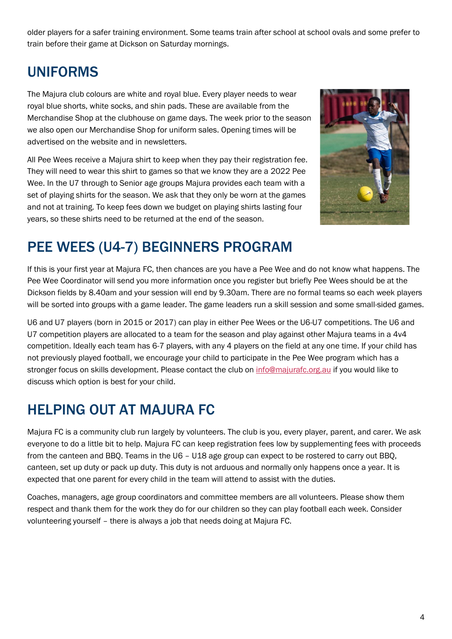older players for a safer training environment. Some teams train after school at school ovals and some prefer to train before their game at Dickson on Saturday mornings.

### UNIFORMS

The Majura club colours are white and royal blue. Every player needs to wear royal blue shorts, white socks, and shin pads. These are available from the Merchandise Shop at the clubhouse on game days. The week prior to the season we also open our Merchandise Shop for uniform sales. Opening times will be advertised on the website and in newsletters.

All Pee Wees receive a Majura shirt to keep when they pay their registration fee. They will need to wear this shirt to games so that we know they are a 2022 Pee Wee. In the U7 through to Senior age groups Majura provides each team with a set of playing shirts for the season. We ask that they only be worn at the games and not at training. To keep fees down we budget on playing shirts lasting four years, so these shirts need to be returned at the end of the season.



#### PEE WEES (U4-7) BEGINNERS PROGRAM

If this is your first year at Majura FC, then chances are you have a Pee Wee and do not know what happens. The Pee Wee Coordinator will send you more information once you register but briefly Pee Wees should be at the Dickson fields by 8.40am and your session will end by 9.30am. There are no formal teams so each week players will be sorted into groups with a game leader. The game leaders run a skill session and some small-sided games.

U6 and U7 players (born in 2015 or 2017) can play in either Pee Wees or the U6-U7 competitions. The U6 and U7 competition players are allocated to a team for the season and play against other Majura teams in a 4v4 competition. Ideally each team has 6-7 players, with any 4 players on the field at any one time. If your child has not previously played football, we encourage your child to participate in the Pee Wee program which has a stronger focus on skills development. Please contact the club on [info@majurafc.org.au](mailto:info@majurafc.org.au) if you would like to discuss which option is best for your child.

### HELPING OUT AT MAJURA FC

Majura FC is a community club run largely by volunteers. The club is you, every player, parent, and carer. We ask everyone to do a little bit to help. Majura FC can keep registration fees low by supplementing fees with proceeds from the canteen and BBQ. Teams in the U6 – U18 age group can expect to be rostered to carry out BBQ, canteen, set up duty or pack up duty. This duty is not arduous and normally only happens once a year. It is expected that one parent for every child in the team will attend to assist with the duties.

Coaches, managers, age group coordinators and committee members are all volunteers. Please show them respect and thank them for the work they do for our children so they can play football each week. Consider volunteering yourself – there is always a job that needs doing at Majura FC.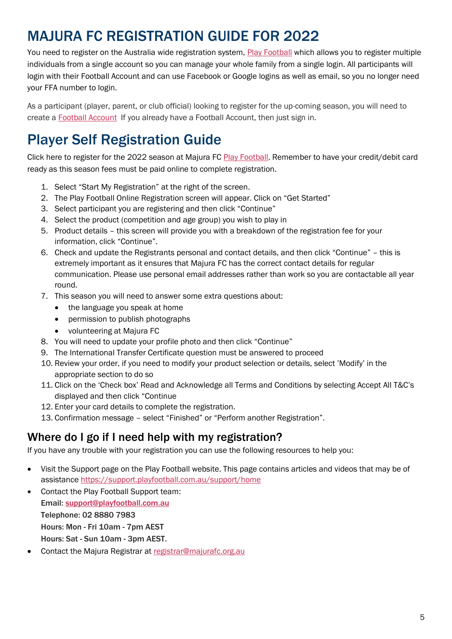## MAJURA FC REGISTRATION GUIDE FOR 2022

You need to register on the Australia wide registration system, [Play Football](https://www.playfootball.com.au/football-finder?st=club&club_name=Majura+FC&clubId=31592#infoModal) which allows you to register multiple individuals from a single account so you can manage your whole family from a single login. All participants will login with their Football Account and can use Facebook or Google logins as well as email, so you no longer need your FFA number to login.

As a participant (player, parent, or club official) looking to register for the up-coming season, you will need to create a [Football Account](https://www.ffa.com.au/football-account) If you already have a Football Account, then just sign in.

### Player Self Registration Guide

Click here to register for the 2022 season at Majura FC [Play Football](https://www.playfootball.com.au/football-finder?st=club&club_name=Majura+FC&clubId=31592#infoModal). Remember to have your credit/debit card ready as this season fees must be paid online to complete registration.

- 1. Select "Start My Registration" at the right of the screen.
- 2. The Play Football Online Registration screen will appear. Click on "Get Started"
- 3. Select participant you are registering and then click "Continue"
- 4. Select the product (competition and age group) you wish to play in
- 5. Product details this screen will provide you with a breakdown of the registration fee for your information, click "Continue".
- 6. Check and update the Registrants personal and contact details, and then click "Continue" this is extremely important as it ensures that Majura FC has the correct contact details for regular communication. Please use personal email addresses rather than work so you are contactable all year round.
- 7. This season you will need to answer some extra questions about:
	- the language you speak at home
	- permission to publish photographs
	- volunteering at Majura FC
- 8. You will need to update your profile photo and then click "Continue"
- 9. The International Transfer Certificate question must be answered to proceed
- 10. Review your order, if you need to modify your product selection or details, select 'Modify' in the appropriate section to do so
- 11. Click on the 'Check box' Read and Acknowledge all Terms and Conditions by selecting Accept All T&C's displayed and then click "Continue
- 12. Enter your card details to complete the registration.
- 13. Confirmation message select "Finished" or "Perform another Registration".

#### Where do I go if I need help with my registration?

If you have any trouble with your registration you can use the following resources to help you:

- Visit the Support page on the Play Football website. This page contains articles and videos that may be of assistance<https://support.playfootball.com.au/support/home>
- Contact the Play Football Support team: Email: [support@playfootball.com.au](mailto:support@playfootball.com.au) Telephone: 02 8880 7983 Hours: Mon - Fri 10am - 7pm AEST Hours: Sat - Sun 10am - 3pm AEST.
- Contact the Majura Registrar at [registrar@majurafc.org.au](mailto:registrar@majurafc.org.au)